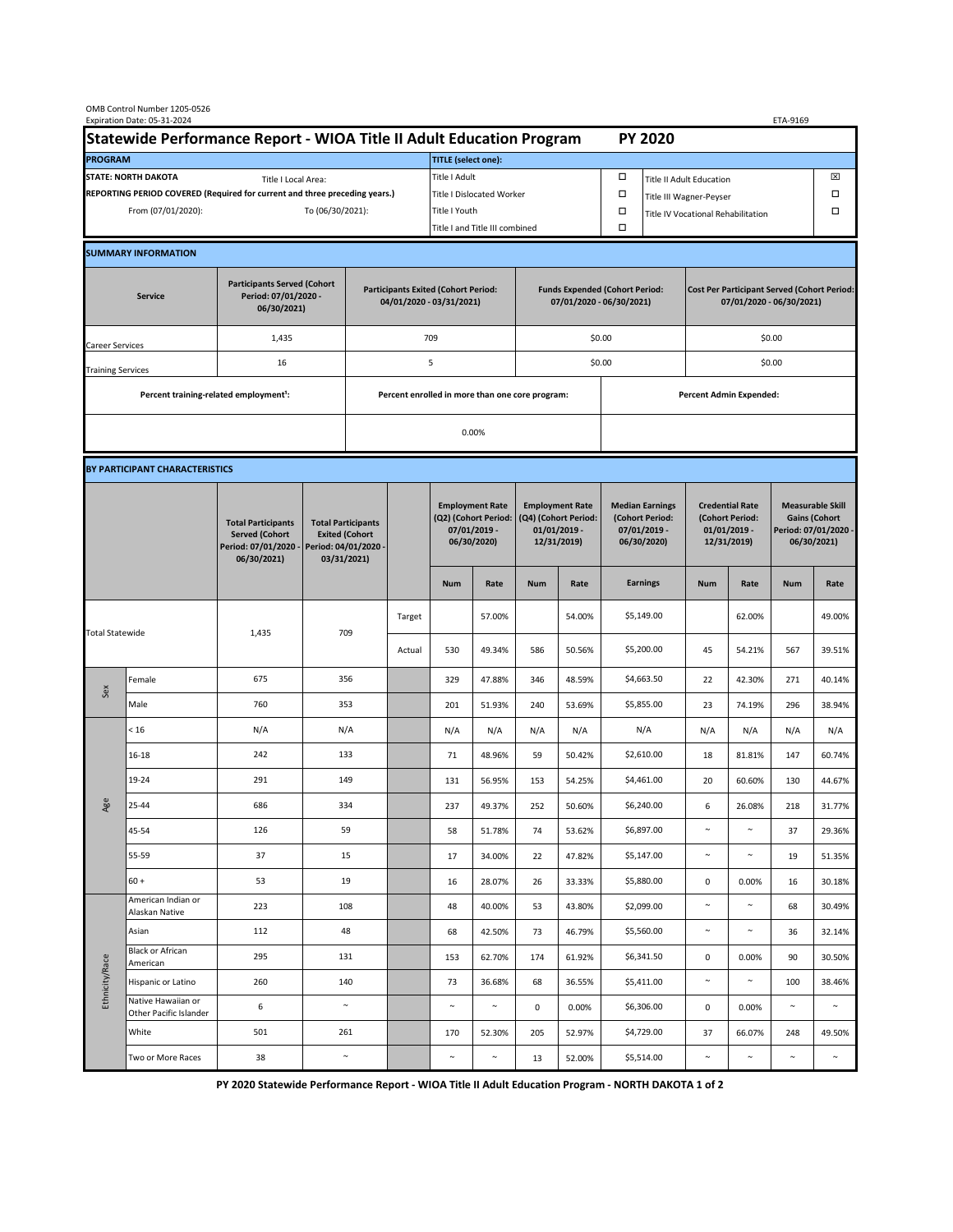| OMB Control Number 1205-0526<br>Expiration Date: 05-31-2024<br>ETA-9169                     |                                                    |                                                                                           |                                                                                           |                                                                        |                           |                                                                               |                                |                                                                                 |        |                                                                            |                                    |                                                                                |            |                                                                                        |        |  |  |
|---------------------------------------------------------------------------------------------|----------------------------------------------------|-------------------------------------------------------------------------------------------|-------------------------------------------------------------------------------------------|------------------------------------------------------------------------|---------------------------|-------------------------------------------------------------------------------|--------------------------------|---------------------------------------------------------------------------------|--------|----------------------------------------------------------------------------|------------------------------------|--------------------------------------------------------------------------------|------------|----------------------------------------------------------------------------------------|--------|--|--|
| Statewide Performance Report - WIOA Title II Adult Education Program                        |                                                    |                                                                                           |                                                                                           |                                                                        |                           |                                                                               |                                |                                                                                 |        |                                                                            |                                    | <b>PY 2020</b>                                                                 |            |                                                                                        |        |  |  |
| <b>PROGRAM</b>                                                                              |                                                    |                                                                                           |                                                                                           |                                                                        |                           | <b>TITLE</b> (select one):                                                    |                                |                                                                                 |        |                                                                            |                                    |                                                                                |            |                                                                                        |        |  |  |
| <b>STATE: NORTH DAKOTA</b><br>Title I Local Area:                                           |                                                    |                                                                                           |                                                                                           |                                                                        |                           | Title I Adult                                                                 |                                |                                                                                 |        | □<br><b>Title II Adult Education</b>                                       |                                    |                                                                                |            |                                                                                        | ⊠      |  |  |
| REPORTING PERIOD COVERED (Required for current and three preceding years.)                  |                                                    |                                                                                           |                                                                                           |                                                                        | Title I Dislocated Worker |                                                                               |                                |                                                                                 |        | Ω                                                                          | Title III Wagner-Peyser            |                                                                                |            |                                                                                        | □      |  |  |
| From (07/01/2020):                                                                          |                                                    |                                                                                           |                                                                                           | To (06/30/2021):                                                       |                           |                                                                               | Title I Youth                  |                                                                                 |        | $\Box$                                                                     | Title IV Vocational Rehabilitation |                                                                                |            |                                                                                        | □      |  |  |
|                                                                                             |                                                    |                                                                                           |                                                                                           |                                                                        |                           |                                                                               | Title I and Title III combined |                                                                                 |        | Ω                                                                          |                                    |                                                                                |            |                                                                                        |        |  |  |
|                                                                                             | <b>SUMMARY INFORMATION</b>                         |                                                                                           |                                                                                           |                                                                        |                           |                                                                               |                                |                                                                                 |        |                                                                            |                                    |                                                                                |            |                                                                                        |        |  |  |
| <b>Participants Served (Cohort</b><br>Period: 07/01/2020 -<br><b>Service</b><br>06/30/2021) |                                                    |                                                                                           |                                                                                           | <b>Participants Exited (Cohort Period:</b><br>04/01/2020 - 03/31/2021) |                           |                                                                               |                                | <b>Funds Expended (Cohort Period:</b><br>07/01/2020 - 06/30/2021)               |        |                                                                            |                                    | <b>Cost Per Participant Served (Cohort Period:</b><br>07/01/2020 - 06/30/2021) |            |                                                                                        |        |  |  |
| Career Services                                                                             |                                                    | 1,435                                                                                     |                                                                                           |                                                                        |                           | 709                                                                           |                                |                                                                                 |        | \$0.00                                                                     |                                    | \$0.00                                                                         |            |                                                                                        |        |  |  |
| <b>Training Services</b>                                                                    |                                                    | 16                                                                                        |                                                                                           | 5                                                                      |                           |                                                                               |                                | \$0.00                                                                          |        |                                                                            |                                    | \$0.00                                                                         |            |                                                                                        |        |  |  |
|                                                                                             | Percent training-related employment <sup>1</sup> : |                                                                                           | Percent enrolled in more than one core program:                                           |                                                                        |                           |                                                                               |                                |                                                                                 |        |                                                                            |                                    | <b>Percent Admin Expended:</b>                                                 |            |                                                                                        |        |  |  |
|                                                                                             |                                                    |                                                                                           |                                                                                           |                                                                        |                           | 0.00%                                                                         |                                |                                                                                 |        |                                                                            |                                    |                                                                                |            |                                                                                        |        |  |  |
|                                                                                             |                                                    |                                                                                           |                                                                                           |                                                                        |                           |                                                                               |                                |                                                                                 |        |                                                                            |                                    |                                                                                |            |                                                                                        |        |  |  |
|                                                                                             | BY PARTICIPANT CHARACTERISTICS                     |                                                                                           |                                                                                           |                                                                        |                           |                                                                               |                                |                                                                                 |        |                                                                            |                                    |                                                                                |            |                                                                                        |        |  |  |
|                                                                                             |                                                    | <b>Total Participants</b><br><b>Served (Cohort</b><br>Period: 07/01/2020 -<br>06/30/2021) | <b>Total Participants</b><br><b>Exited (Cohort</b><br>Period: 04/01/2020 -<br>03/31/2021) |                                                                        |                           | <b>Employment Rate</b><br>(Q2) (Cohort Period:<br>07/01/2019 -<br>06/30/2020) |                                | <b>Employment Rate</b><br>(Q4) (Cohort Period:<br>$01/01/2019$ -<br>12/31/2019) |        | <b>Median Earnings</b><br>(Cohort Period:<br>$07/01/2019 -$<br>06/30/2020) |                                    | <b>Credential Rate</b><br>(Cohort Period:<br>$01/01/2019$ -<br>12/31/2019)     |            | <b>Measurable Skill</b><br><b>Gains (Cohort</b><br>Period: 07/01/2020 -<br>06/30/2021) |        |  |  |
|                                                                                             |                                                    |                                                                                           |                                                                                           |                                                                        |                           | <b>Num</b>                                                                    | Rate                           | <b>Num</b>                                                                      | Rate   |                                                                            | <b>Earnings</b>                    | <b>Num</b>                                                                     | Rate       | <b>Num</b>                                                                             | Rate   |  |  |
| <b>Total Statewide</b>                                                                      |                                                    |                                                                                           | 709<br>1,435                                                                              |                                                                        | Target                    |                                                                               | 57.00%                         |                                                                                 | 54.00% |                                                                            | \$5,149.00                         |                                                                                | 62.00%     |                                                                                        | 49.00% |  |  |
|                                                                                             |                                                    |                                                                                           |                                                                                           |                                                                        | Actual                    | 530                                                                           | 49.34%                         | 586                                                                             | 50.56% |                                                                            | \$5,200.00                         | 45                                                                             | 54.21%     | 567                                                                                    | 39.51% |  |  |
|                                                                                             | Female                                             | 675                                                                                       | 356                                                                                       |                                                                        |                           | 329                                                                           | 47.88%                         | 346                                                                             | 48.59% |                                                                            | \$4,663.50                         | 22                                                                             | 42.30%     | 271                                                                                    | 40.14% |  |  |
| Sex                                                                                         | Male                                               | 760                                                                                       | 353                                                                                       |                                                                        |                           | 201                                                                           | 51.93%                         | 240                                                                             | 53.69% |                                                                            | \$5,855.00                         | 23                                                                             | 74.19%     | 296                                                                                    | 38.94% |  |  |
| Age                                                                                         | < 16                                               | N/A                                                                                       | N/A                                                                                       |                                                                        |                           | N/A                                                                           | N/A                            | N/A                                                                             | N/A    |                                                                            | N/A                                | N/A                                                                            | N/A        | N/A                                                                                    | N/A    |  |  |
|                                                                                             | $16 - 18$                                          | 242                                                                                       | 133                                                                                       |                                                                        |                           | 71                                                                            | 48.96%                         | 59                                                                              | 50.42% |                                                                            | \$2,610.00                         | 18                                                                             | 81.81%     | 147                                                                                    | 60.74% |  |  |
|                                                                                             | 19-24                                              | 291                                                                                       | 149                                                                                       |                                                                        |                           | 131                                                                           | 56.95%                         | 153                                                                             | 54.25% |                                                                            | \$4,461.00                         | 20                                                                             | 60.60%     | 130                                                                                    | 44.67% |  |  |
|                                                                                             | 25-44                                              | 686                                                                                       | 334                                                                                       |                                                                        |                           | 237                                                                           | 49.37%                         | 252                                                                             | 50.60% |                                                                            | \$6,240.00                         | 6                                                                              | 26.08%     | 218                                                                                    | 31.77% |  |  |
|                                                                                             | 45-54                                              | 126                                                                                       | 59                                                                                        |                                                                        |                           | 58                                                                            | 51.78%                         | 74                                                                              | 53.62% |                                                                            | \$6,897.00                         | $\sim$                                                                         | $\sim$     | 37                                                                                     | 29.36% |  |  |
|                                                                                             | 55-59                                              | 37                                                                                        | 15                                                                                        |                                                                        |                           | 17                                                                            | 34.00%                         | 22                                                                              | 47.82% |                                                                            | \$5,147.00                         | $\sim$                                                                         | $\sim$     | 19                                                                                     | 51.35% |  |  |
|                                                                                             | $60 +$                                             | 53                                                                                        | 19                                                                                        |                                                                        |                           | 16                                                                            | 28.07%                         | 26                                                                              | 33.33% |                                                                            | \$5,880.00                         | $\mathbf 0$                                                                    | 0.00%      | 16                                                                                     | 30.18% |  |  |
| Ethnicity/Race                                                                              | American Indian or<br>Alaskan Native               | 223                                                                                       | 108                                                                                       |                                                                        |                           | 48                                                                            | 40.00%                         | 53                                                                              | 43.80% |                                                                            | \$2,099.00                         | $\sim$                                                                         | $\sim$     | 68                                                                                     | 30.49% |  |  |
|                                                                                             | Asian                                              | 112                                                                                       | 48                                                                                        |                                                                        |                           | 68                                                                            | 42.50%                         | 73                                                                              | 46.79% |                                                                            | \$5,560.00                         | $\sim$                                                                         | $\sim$     | 36                                                                                     | 32.14% |  |  |
|                                                                                             | Black or African<br>American                       | 295                                                                                       | 131                                                                                       |                                                                        |                           | 153                                                                           | 62.70%                         | 174                                                                             | 61.92% |                                                                            | \$6,341.50                         | $\mathbf 0$                                                                    | 0.00%      | 90                                                                                     | 30.50% |  |  |
|                                                                                             | Hispanic or Latino                                 | 260                                                                                       | 140                                                                                       |                                                                        |                           | 73                                                                            | 36.68%                         | 68                                                                              | 36.55% |                                                                            | \$5,411.00                         | $\sim$                                                                         | $\sim$     | 100                                                                                    | 38.46% |  |  |
|                                                                                             | Native Hawaiian or<br>Other Pacific Islander       | 6                                                                                         | $\sim$                                                                                    |                                                                        |                           | $\sim$                                                                        | $\sim$                         | 0                                                                               | 0.00%  |                                                                            | \$6,306.00                         | $\mathbf 0$                                                                    | 0.00%      | $\sim$                                                                                 | $\sim$ |  |  |
|                                                                                             | White                                              | 501                                                                                       | 261                                                                                       |                                                                        |                           | 170                                                                           | 52.30%                         | 205                                                                             | 52.97% |                                                                            | \$4,729.00                         | 37                                                                             | 66.07%     | 248                                                                                    | 49.50% |  |  |
|                                                                                             | Two or More Races                                  | 38                                                                                        | $\sim$                                                                                    |                                                                        |                           | $\sim$                                                                        | $\sim$                         | 13                                                                              | 52.00% |                                                                            | \$5,514.00                         | $\sim$                                                                         | $\tilde{}$ | $\sim$                                                                                 | $\sim$ |  |  |

**PY 2020 Statewide Performance Report - WIOA Title II Adult Education Program - NORTH DAKOTA 1 of 2**